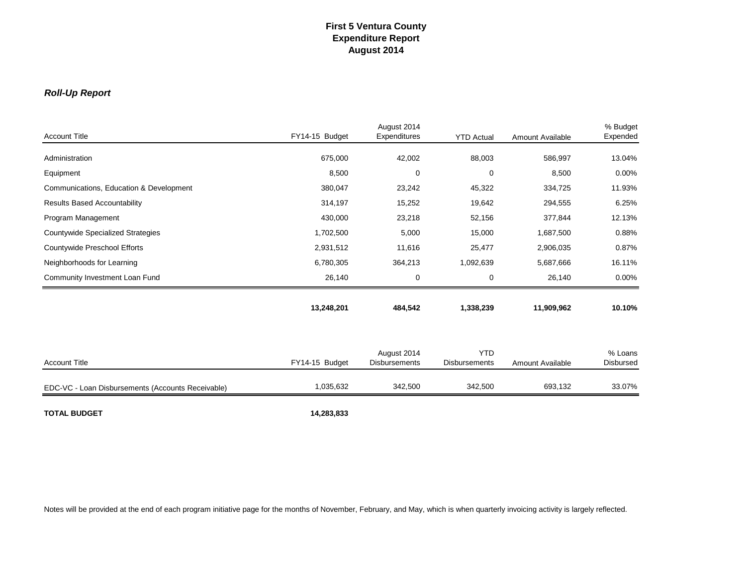### *Roll-Up Report*

| <b>Account Title</b>                              | FY14-15 Budget | August 2014<br>Expenditures         | <b>YTD Actual</b>                  | Amount Available | % Budget<br>Expended        |
|---------------------------------------------------|----------------|-------------------------------------|------------------------------------|------------------|-----------------------------|
|                                                   |                |                                     |                                    |                  |                             |
| Administration                                    | 675,000        | 42,002                              | 88,003                             | 586,997          | 13.04%                      |
| Equipment                                         | 8,500          | 0                                   | 0                                  | 8,500            | 0.00%                       |
| Communications, Education & Development           | 380,047        | 23,242                              | 45,322                             | 334,725          | 11.93%                      |
| <b>Results Based Accountability</b>               | 314,197        | 15,252                              | 19,642                             | 294,555          | 6.25%                       |
| Program Management                                | 430,000        | 23,218                              | 52,156                             | 377,844          | 12.13%                      |
| <b>Countywide Specialized Strategies</b>          | 1,702,500      | 5,000                               | 15,000                             | 1,687,500        | 0.88%                       |
| Countywide Preschool Efforts                      | 2,931,512      | 11,616                              | 25,477                             | 2,906,035        | 0.87%                       |
| Neighborhoods for Learning                        | 6,780,305      | 364,213                             | 1,092,639                          | 5,687,666        | 16.11%                      |
| Community Investment Loan Fund                    | 26,140         | 0                                   | 0                                  | 26,140           | 0.00%                       |
|                                                   | 13,248,201     | 484,542                             | 1,338,239                          | 11,909,962       | 10.10%                      |
| <b>Account Title</b>                              | FY14-15 Budget | August 2014<br><b>Disbursements</b> | <b>YTD</b><br><b>Disbursements</b> | Amount Available | % Loans<br><b>Disbursed</b> |
| EDC-VC - Loan Disbursements (Accounts Receivable) | 1,035,632      | 342,500                             | 342,500                            | 693,132          | 33.07%                      |
| <b>TOTAL BUDGET</b>                               | 14,283,833     |                                     |                                    |                  |                             |

Notes will be provided at the end of each program initiative page for the months of November, February, and May, which is when quarterly invoicing activity is largely reflected.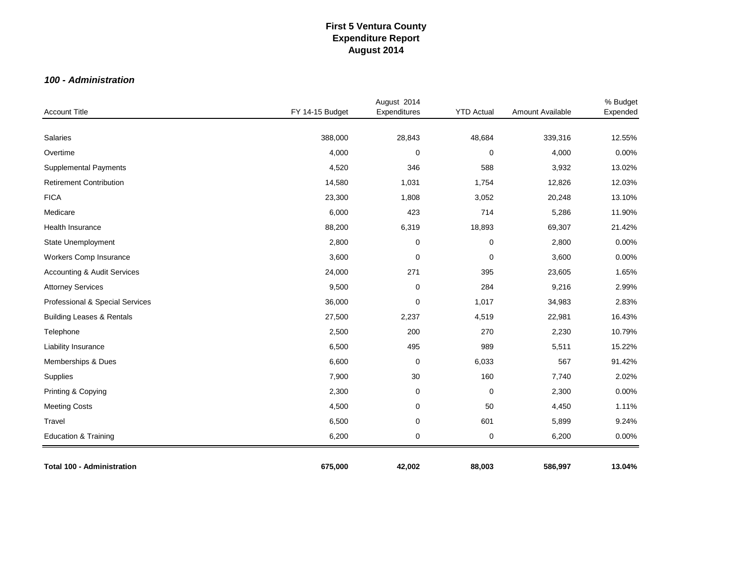### *100 - Administration*

| <b>Account Title</b>                   | FY 14-15 Budget | August 2014<br>Expenditures | <b>YTD Actual</b> | Amount Available | % Budget<br>Expended |
|----------------------------------------|-----------------|-----------------------------|-------------------|------------------|----------------------|
|                                        |                 |                             |                   |                  |                      |
| Salaries                               | 388,000         | 28,843                      | 48,684            | 339,316          | 12.55%               |
| Overtime                               | 4,000           | $\mathbf 0$                 | $\mathbf 0$       | 4,000            | 0.00%                |
| <b>Supplemental Payments</b>           | 4,520           | 346                         | 588               | 3,932            | 13.02%               |
| <b>Retirement Contribution</b>         | 14,580          | 1,031                       | 1,754             | 12,826           | 12.03%               |
| <b>FICA</b>                            | 23,300          | 1,808                       | 3,052             | 20,248           | 13.10%               |
| Medicare                               | 6,000           | 423                         | 714               | 5,286            | 11.90%               |
| Health Insurance                       | 88,200          | 6,319                       | 18,893            | 69,307           | 21.42%               |
| State Unemployment                     | 2,800           | $\mathbf 0$                 | $\pmb{0}$         | 2,800            | 0.00%                |
| Workers Comp Insurance                 | 3,600           | $\mathbf 0$                 | $\pmb{0}$         | 3,600            | 0.00%                |
| <b>Accounting &amp; Audit Services</b> | 24,000          | 271                         | 395               | 23,605           | 1.65%                |
| <b>Attorney Services</b>               | 9,500           | $\pmb{0}$                   | 284               | 9,216            | 2.99%                |
| Professional & Special Services        | 36,000          | 0                           | 1,017             | 34,983           | 2.83%                |
| <b>Building Leases &amp; Rentals</b>   | 27,500          | 2,237                       | 4,519             | 22,981           | 16.43%               |
| Telephone                              | 2,500           | 200                         | 270               | 2,230            | 10.79%               |
| Liability Insurance                    | 6,500           | 495                         | 989               | 5,511            | 15.22%               |
| Memberships & Dues                     | 6,600           | 0                           | 6,033             | 567              | 91.42%               |
| Supplies                               | 7,900           | 30                          | 160               | 7,740            | 2.02%                |
| Printing & Copying                     | 2,300           | 0                           | $\pmb{0}$         | 2,300            | 0.00%                |
| <b>Meeting Costs</b>                   | 4,500           | 0                           | 50                | 4,450            | 1.11%                |
| Travel                                 | 6,500           | 0                           | 601               | 5,899            | 9.24%                |
| Education & Training                   | 6,200           | 0                           | $\pmb{0}$         | 6,200            | 0.00%                |
| <b>Total 100 - Administration</b>      | 675,000         | 42,002                      | 88,003            | 586,997          | 13.04%               |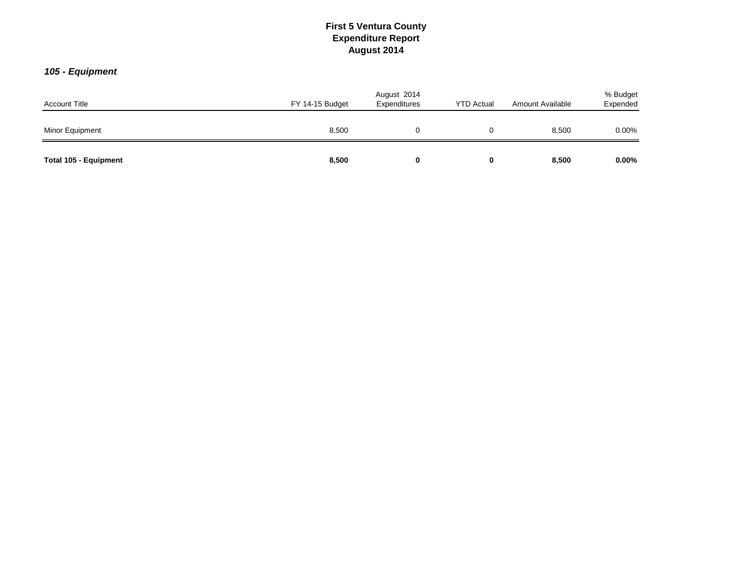### *105 - Equipment*

| <b>Account Title</b>  | FY 14-15 Budget | August 2014<br>Expenditures | <b>YTD Actual</b> | Amount Available |          |
|-----------------------|-----------------|-----------------------------|-------------------|------------------|----------|
| Minor Equipment       | 8,500           |                             |                   | 8,500            | 0.00%    |
| Total 105 - Equipment | 8,500           |                             | 0                 | 8,500            | $0.00\%$ |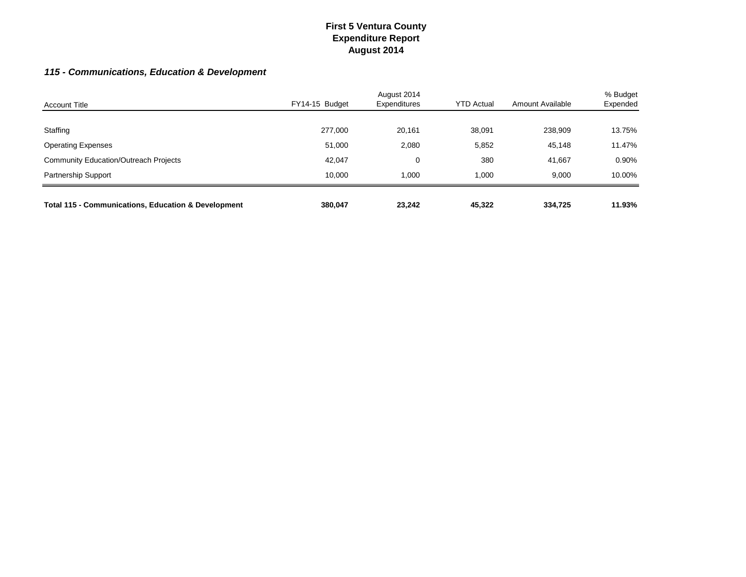## *115 - Communications, Education & Development*

| <b>Account Title</b>                                           | FY14-15 Budget | August 2014<br>Expenditures | <b>YTD Actual</b> | Amount Available | % Budget<br>Expended |
|----------------------------------------------------------------|----------------|-----------------------------|-------------------|------------------|----------------------|
|                                                                |                |                             |                   |                  |                      |
| Staffing                                                       | 277,000        | 20,161                      | 38,091            | 238,909          | 13.75%               |
| <b>Operating Expenses</b>                                      | 51,000         | 2,080                       | 5,852             | 45,148           | 11.47%               |
| <b>Community Education/Outreach Projects</b>                   | 42,047         | 0                           | 380               | 41.667           | 0.90%                |
| <b>Partnership Support</b>                                     | 10.000         | 1.000                       | 000.1             | 9.000            | 10.00%               |
|                                                                |                |                             |                   |                  |                      |
| <b>Total 115 - Communications, Education &amp; Development</b> | 380,047        | 23.242                      | 45.322            | 334.725          | 11.93%               |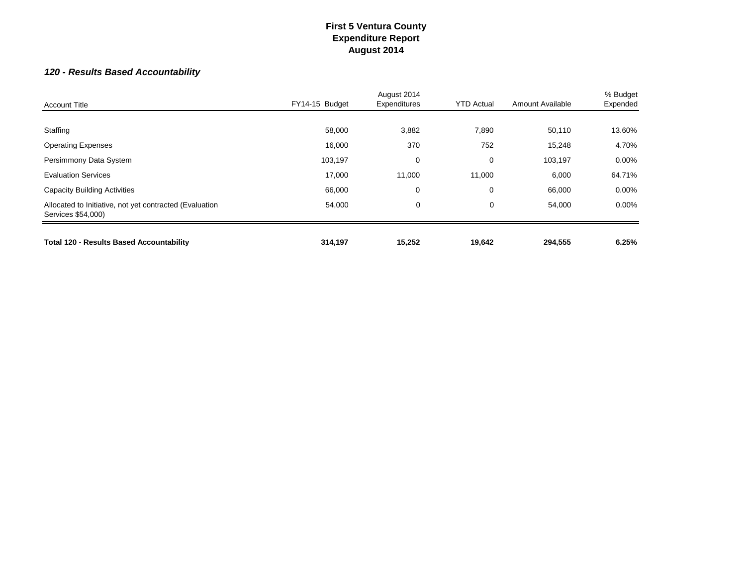## *120 - Results Based Accountability*

| <b>Account Title</b>                                                          | FY14-15 Budget | August 2014<br>Expenditures | <b>YTD Actual</b> | Amount Available | % Budget<br>Expended |
|-------------------------------------------------------------------------------|----------------|-----------------------------|-------------------|------------------|----------------------|
|                                                                               |                |                             |                   |                  |                      |
| Staffing                                                                      | 58,000         | 3,882                       | 7,890             | 50,110           | 13.60%               |
| <b>Operating Expenses</b>                                                     | 16,000         | 370                         | 752               | 15,248           | 4.70%                |
| Persimmony Data System                                                        | 103,197        | 0                           | 0                 | 103,197          | $0.00\%$             |
| <b>Evaluation Services</b>                                                    | 17,000         | 11,000                      | 11,000            | 6,000            | 64.71%               |
| <b>Capacity Building Activities</b>                                           | 66,000         | 0                           | $\mathbf 0$       | 66,000           | $0.00\%$             |
| Allocated to Initiative, not yet contracted (Evaluation<br>Services \$54,000) | 54,000         | 0                           | 0                 | 54,000           | $0.00\%$             |
| <b>Total 120 - Results Based Accountability</b>                               | 314,197        | 15,252                      | 19,642            | 294,555          | 6.25%                |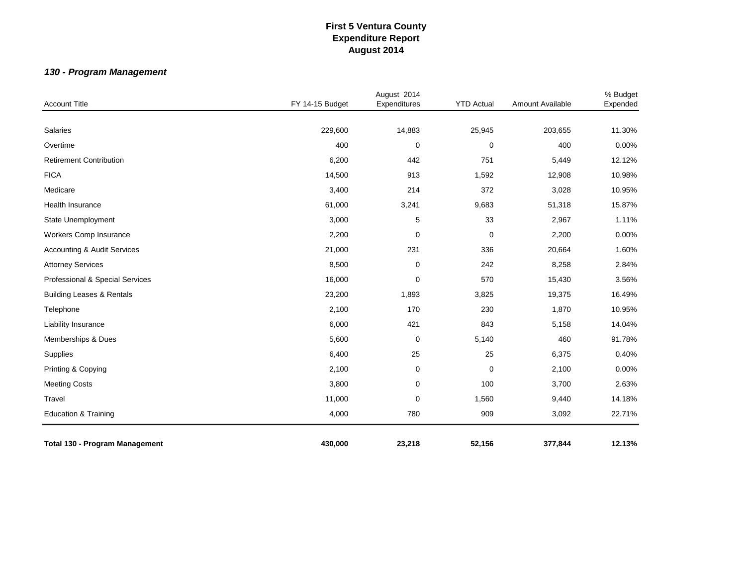## *130 - Program Management*

| <b>Account Title</b>                   |                 | August 2014  | <b>YTD Actual</b> | Amount Available | % Budget |
|----------------------------------------|-----------------|--------------|-------------------|------------------|----------|
|                                        | FY 14-15 Budget | Expenditures |                   |                  | Expended |
| Salaries                               | 229,600         | 14,883       | 25,945            | 203,655          | 11.30%   |
| Overtime                               | 400             | 0            | 0                 | 400              | 0.00%    |
| <b>Retirement Contribution</b>         | 6,200           | 442          | 751               | 5,449            | 12.12%   |
| <b>FICA</b>                            | 14,500          | 913          | 1,592             | 12,908           | 10.98%   |
| Medicare                               | 3,400           | 214          | 372               | 3,028            | 10.95%   |
| Health Insurance                       | 61,000          | 3,241        | 9,683             | 51,318           | 15.87%   |
| State Unemployment                     | 3,000           | 5            | 33                | 2,967            | 1.11%    |
| <b>Workers Comp Insurance</b>          | 2,200           | 0            | $\pmb{0}$         | 2,200            | 0.00%    |
| <b>Accounting &amp; Audit Services</b> | 21,000          | 231          | 336               | 20,664           | 1.60%    |
| <b>Attorney Services</b>               | 8,500           | 0            | 242               | 8,258            | 2.84%    |
| Professional & Special Services        | 16,000          | 0            | 570               | 15,430           | 3.56%    |
| <b>Building Leases &amp; Rentals</b>   | 23,200          | 1,893        | 3,825             | 19,375           | 16.49%   |
| Telephone                              | 2,100           | 170          | 230               | 1,870            | 10.95%   |
| Liability Insurance                    | 6,000           | 421          | 843               | 5,158            | 14.04%   |
| Memberships & Dues                     | 5,600           | $\pmb{0}$    | 5,140             | 460              | 91.78%   |
| Supplies                               | 6,400           | 25           | 25                | 6,375            | 0.40%    |
| Printing & Copying                     | 2,100           | 0            | $\pmb{0}$         | 2,100            | 0.00%    |
| <b>Meeting Costs</b>                   | 3,800           | $\mathbf 0$  | 100               | 3,700            | 2.63%    |
| Travel                                 | 11,000          | 0            | 1,560             | 9,440            | 14.18%   |
| <b>Education &amp; Training</b>        | 4,000           | 780          | 909               | 3,092            | 22.71%   |
| <b>Total 130 - Program Management</b>  | 430,000         | 23,218       | 52,156            | 377,844          | 12.13%   |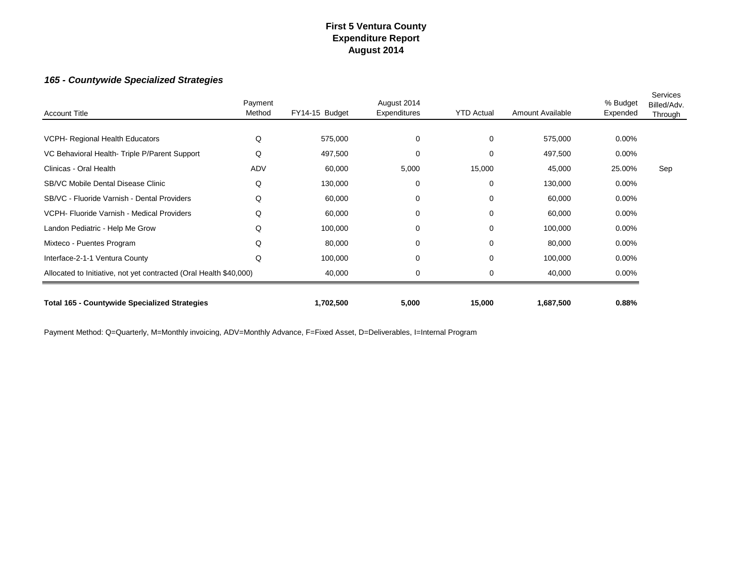### *165 - Countywide Specialized Strategies*

| <b>Account Title</b>                                               | Payment<br>Method | FY14-15 Budget | August 2014<br>Expenditures | <b>YTD Actual</b> | Amount Available | % Budget<br>Expended | Services<br>Billed/Adv.<br><b>Through</b> |
|--------------------------------------------------------------------|-------------------|----------------|-----------------------------|-------------------|------------------|----------------------|-------------------------------------------|
|                                                                    |                   |                |                             |                   |                  |                      |                                           |
| VCPH- Regional Health Educators                                    | Q                 | 575,000        | 0                           | 0                 | 575,000          | $0.00\%$             |                                           |
| VC Behavioral Health- Triple P/Parent Support                      | Q                 | 497,500        | $\Omega$                    | 0                 | 497,500          | 0.00%                |                                           |
| Clinicas - Oral Health                                             | ADV               | 60,000         | 5,000                       | 15,000            | 45,000           | 25.00%               | Sep                                       |
| <b>SB/VC Mobile Dental Disease Clinic</b>                          | Q                 | 130,000        | $\Omega$                    | $\mathbf 0$       | 130,000          | 0.00%                |                                           |
| SB/VC - Fluoride Varnish - Dental Providers                        | Q                 | 60,000         | 0                           | 0                 | 60,000           | $0.00\%$             |                                           |
| VCPH- Fluoride Varnish - Medical Providers                         | Q                 | 60,000         | $\Omega$                    | $\mathbf 0$       | 60,000           | $0.00\%$             |                                           |
| Landon Pediatric - Help Me Grow                                    | Q                 | 100,000        | 0                           | 0                 | 100,000          | $0.00\%$             |                                           |
| Mixteco - Puentes Program                                          | Q                 | 80,000         | 0                           | 0                 | 80,000           | $0.00\%$             |                                           |
| Interface-2-1-1 Ventura County                                     | Q                 | 100,000        | 0                           | 0                 | 100,000          | $0.00\%$             |                                           |
| Allocated to Initiative, not yet contracted (Oral Health \$40,000) |                   | 40,000         | 0                           | $\mathbf 0$       | 40,000           | $0.00\%$             |                                           |
| <b>Total 165 - Countywide Specialized Strategies</b>               |                   | 1,702,500      | 5,000                       | 15,000            | 1,687,500        | 0.88%                |                                           |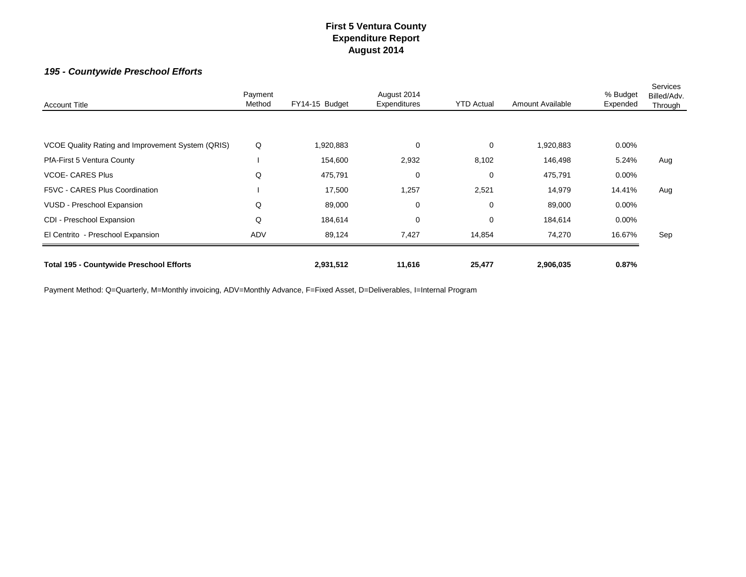# *195 - Countywide Preschool Efforts*

| <b>Account Title</b>                              | Payment<br>Method | FY14-15 Budget | August 2014<br><b>Expenditures</b> | <b>YTD Actual</b> | Amount Available | % Budget<br>Expended | Services<br>Billed/Adv.<br>Through |
|---------------------------------------------------|-------------------|----------------|------------------------------------|-------------------|------------------|----------------------|------------------------------------|
|                                                   |                   |                |                                    |                   |                  |                      |                                    |
| VCOE Quality Rating and Improvement System (QRIS) | Q                 | 1,920,883      | $\mathbf 0$                        | 0                 | 1,920,883        | $0.00\%$             |                                    |
| PfA-First 5 Ventura County                        |                   | 154,600        | 2,932                              | 8,102             | 146,498          | 5.24%                | Aug                                |
| <b>VCOE- CARES Plus</b>                           | Q                 | 475,791        | 0                                  | 0                 | 475,791          | $0.00\%$             |                                    |
| F5VC - CARES Plus Coordination                    |                   | 17,500         | 1,257                              | 2,521             | 14,979           | 14.41%               | Aug                                |
| VUSD - Preschool Expansion                        | Q                 | 89,000         | 0                                  | 0                 | 89,000           | $0.00\%$             |                                    |
| CDI - Preschool Expansion                         | Q                 | 184,614        | $\mathbf 0$                        | 0                 | 184,614          | $0.00\%$             |                                    |
| El Centrito - Preschool Expansion                 | ADV               | 89,124         | 7,427                              | 14,854            | 74,270           | 16.67%               | Sep                                |
| <b>Total 195 - Countywide Preschool Efforts</b>   |                   | 2,931,512      | 11,616                             | 25,477            | 2,906,035        | 0.87%                |                                    |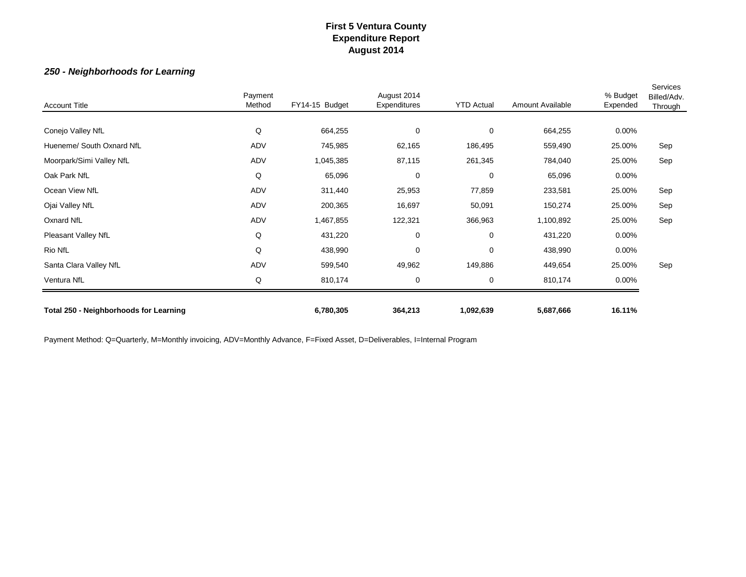### *250 - Neighborhoods for Learning*

| <b>Account Title</b>                   | Payment<br>Method | FY14-15 Budget | August 2014<br>Expenditures | <b>YTD Actual</b> | Amount Available | % Budget<br>Expended | Services<br>Billed/Adv.<br>Through |
|----------------------------------------|-------------------|----------------|-----------------------------|-------------------|------------------|----------------------|------------------------------------|
| Conejo Valley NfL                      | Q                 | 664,255        | 0                           | $\mathbf 0$       | 664,255          | $0.00\%$             |                                    |
| Hueneme/ South Oxnard NfL              | ADV               | 745,985        | 62,165                      | 186,495           | 559,490          | 25.00%               | Sep                                |
| Moorpark/Simi Valley NfL               | ADV               | 1,045,385      | 87,115                      | 261,345           | 784,040          | 25.00%               | Sep                                |
| Oak Park NfL                           | Q                 | 65,096         | 0                           | $\mathbf 0$       | 65,096           | $0.00\%$             |                                    |
| Ocean View NfL                         | ADV               | 311,440        | 25,953                      | 77,859            | 233,581          | 25.00%               | Sep                                |
| Ojai Valley NfL                        | ADV               | 200,365        | 16,697                      | 50,091            | 150,274          | 25.00%               | Sep                                |
| Oxnard NfL                             | ADV               | 1,467,855      | 122,321                     | 366,963           | 1,100,892        | 25.00%               | Sep                                |
| Pleasant Valley NfL                    | Q                 | 431,220        | 0                           | $\mathbf 0$       | 431,220          | $0.00\%$             |                                    |
| Rio NfL                                | Q                 | 438,990        | 0                           | $\mathbf 0$       | 438,990          | $0.00\%$             |                                    |
| Santa Clara Valley NfL                 | ADV               | 599,540        | 49,962                      | 149,886           | 449,654          | 25.00%               | Sep                                |
| Ventura NfL                            | Q                 | 810,174        | 0                           | $\mathbf 0$       | 810,174          | $0.00\%$             |                                    |
| Total 250 - Neighborhoods for Learning |                   | 6,780,305      | 364,213                     | 1,092,639         | 5,687,666        | 16.11%               |                                    |